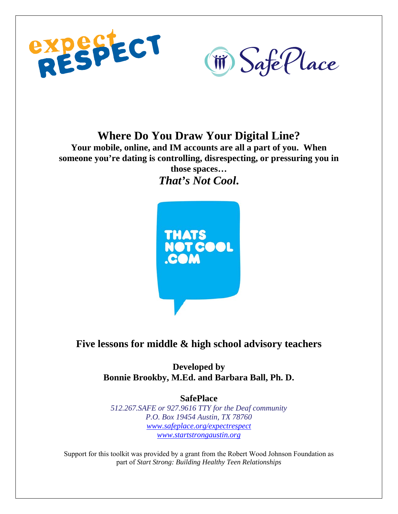



# **Where Do You Draw Your Digital Line?**

**Your mobile, online, and IM accounts are all a part of you. When someone you're dating is controlling, disrespecting, or pressuring you in those spaces…**  *That's Not Cool***.** 



# **Five lessons for middle & high school advisory teachers**

**Developed by Bonnie Brookby, M.Ed. and Barbara Ball, Ph. D.** 

**SafePlace**  *512.267.SAFE or 927.9616 TTY for the Deaf community P.O. Box 19454 Austin, TX 78760 www.safeplace.org/expectrespect www.startstrongaustin.org*

Support for this toolkit was provided by a grant from the Robert Wood Johnson Foundation as part of *Start Strong: Building Healthy Teen Relationships*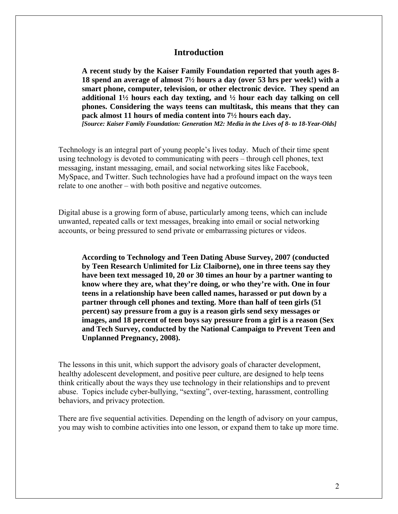# **Introduction**

**A recent study by the Kaiser Family Foundation reported that youth ages 8- 18 spend an average of almost 7½ hours a day (over 53 hrs per week!) with a smart phone, computer, television, or other electronic device. They spend an additional 1½ hours each day texting, and ½ hour each day talking on cell phones. Considering the ways teens can multitask, this means that they can pack almost 11 hours of media content into 7½ hours each day.**  *[Source: Kaiser Family Foundation: Generation M2: Media in the Lives of 8- to 18-Year-Olds]*

Technology is an integral part of young people's lives today. Much of their time spent using technology is devoted to communicating with peers – through cell phones, text messaging, instant messaging, email, and social networking sites like Facebook, MySpace, and Twitter. Such technologies have had a profound impact on the ways teen relate to one another – with both positive and negative outcomes.

Digital abuse is a growing form of abuse, particularly among teens, which can include unwanted, repeated calls or text messages, breaking into email or social networking accounts, or being pressured to send private or embarrassing pictures or videos.

**According to Technology and Teen Dating Abuse Survey, 2007 (conducted by Teen Research Unlimited for Liz Claiborne), one in three teens say they have been text messaged 10, 20 or 30 times an hour by a partner wanting to know where they are, what they're doing, or who they're with. One in four teens in a relationship have been called names, harassed or put down by a partner through cell phones and texting. More than half of teen girls (51 percent) say pressure from a guy is a reason girls send sexy messages or images, and 18 percent of teen boys say pressure from a girl is a reason (Sex and Tech Survey, conducted by the National Campaign to Prevent Teen and Unplanned Pregnancy, 2008).** 

The lessons in this unit, which support the advisory goals of character development, healthy adolescent development, and positive peer culture, are designed to help teens think critically about the ways they use technology in their relationships and to prevent abuse. Topics include cyber-bullying, "sexting", over-texting, harassment, controlling behaviors, and privacy protection.

There are five sequential activities. Depending on the length of advisory on your campus, you may wish to combine activities into one lesson, or expand them to take up more time.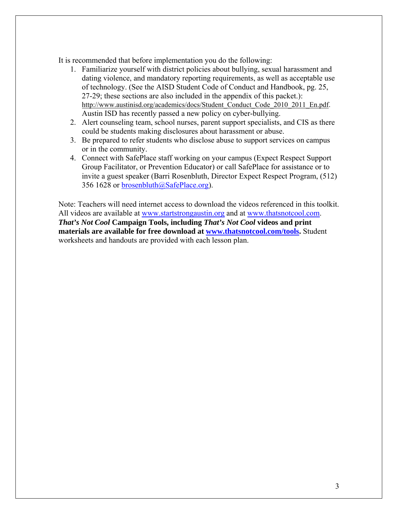It is recommended that before implementation you do the following:

- 1. Familiarize yourself with district policies about bullying, sexual harassment and dating violence, and mandatory reporting requirements, as well as acceptable use of technology. (See the AISD Student Code of Conduct and Handbook, pg. 25, 27-29; these sections are also included in the appendix of this packet.): http://www.austinisd.org/academics/docs/Student\_Conduct\_Code\_2010\_2011\_En.pdf. Austin ISD has recently passed a new policy on cyber-bullying.
- 2. Alert counseling team, school nurses, parent support specialists, and CIS as there could be students making disclosures about harassment or abuse.
- 3. Be prepared to refer students who disclose abuse to support services on campus or in the community.
- 4. Connect with SafePlace staff working on your campus (Expect Respect Support Group Facilitator, or Prevention Educator) or call SafePlace for assistance or to invite a guest speaker (Barri Rosenbluth, Director Expect Respect Program, (512) 356 1628 or brosenbluth@SafePlace.org).

Note: Teachers will need internet access to download the videos referenced in this toolkit. All videos are available at www.startstrongaustin.org and at www.thatsnotcool.com. *That's Not Cool* **Campaign Tools, including** *That's Not Cool* **videos and print materials are available for free download at www.thatsnotcool.com/tools.** Student worksheets and handouts are provided with each lesson plan.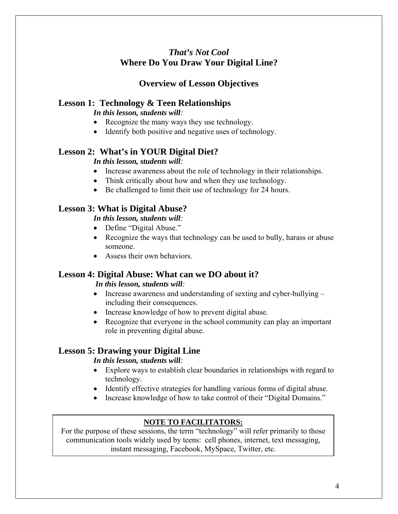# *That's Not Cool*  **Where Do You Draw Your Digital Line?**

# **Overview of Lesson Objectives**

# **Lesson 1: Technology & Teen Relationships**

*In this lesson, students will:* 

- Recognize the many ways they use technology.
- Identify both positive and negative uses of technology.

# **Lesson 2: What's in YOUR Digital Diet?**

# *In this lesson, students will:*

- Increase awareness about the role of technology in their relationships.
- Think critically about how and when they use technology.
- Be challenged to limit their use of technology for 24 hours.

# **Lesson 3: What is Digital Abuse?**

# *In this lesson, students will:*

- Define "Digital Abuse."
- Recognize the ways that technology can be used to bully, harass or abuse someone.
- Assess their own behaviors

# **Lesson 4: Digital Abuse: What can we DO about it?**

# *In this lesson, students will:*

- Increase awareness and understanding of sexting and cyber-bullying including their consequences.
- Increase knowledge of how to prevent digital abuse.
- Recognize that everyone in the school community can play an important role in preventing digital abuse.

# **Lesson 5: Drawing your Digital Line**

# *In this lesson, students will:*

- Explore ways to establish clear boundaries in relationships with regard to technology.
- Identify effective strategies for handling various forms of digital abuse.
- Increase knowledge of how to take control of their "Digital Domains."

# **NOTE TO FACILITATORS:**

For the purpose of these sessions, the term "technology" will refer primarily to those communication tools widely used by teens: cell phones, internet, text messaging, instant messaging, Facebook, MySpace, Twitter, etc.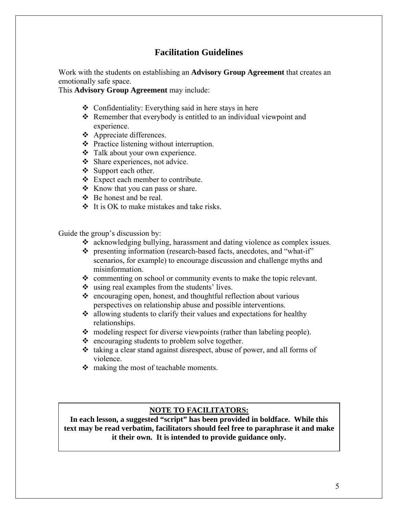# **Facilitation Guidelines**

Work with the students on establishing an **Advisory Group Agreement** that creates an emotionally safe space.

This **Advisory Group Agreement** may include:

- $\triangle$  Confidentiality: Everything said in here stays in here
- $\triangle$  Remember that everybody is entitled to an individual viewpoint and experience.
- Appreciate differences.
- Practice listening without interruption.
- Talk about your own experience.
- $\triangleleft$  Share experiences, not advice.
- Support each other.
- Expect each member to contribute.
- $\triangleleft$  Know that you can pass or share.
- Be honest and be real.
- $\div$  It is OK to make mistakes and take risks.

Guide the group's discussion by:

- acknowledging bullying, harassment and dating violence as complex issues.
- \* presenting information (research-based facts, anecdotes, and "what-if" scenarios, for example) to encourage discussion and challenge myths and misinformation.
- commenting on school or community events to make the topic relevant.
- using real examples from the students' lives.
- $\triangle$  encouraging open, honest, and thoughtful reflection about various perspectives on relationship abuse and possible interventions.
- $\triangleleft$  allowing students to clarify their values and expectations for healthy relationships.
- modeling respect for diverse viewpoints (rather than labeling people).
- $\triangle$  encouraging students to problem solve together.
- $\cdot$  taking a clear stand against disrespect, abuse of power, and all forms of violence.
- $\triangleleft$  making the most of teachable moments.

## **NOTE TO FACILITATORS:**

**In each lesson, a suggested "script" has been provided in boldface. While this text may be read verbatim, facilitators should feel free to paraphrase it and make it their own. It is intended to provide guidance only.**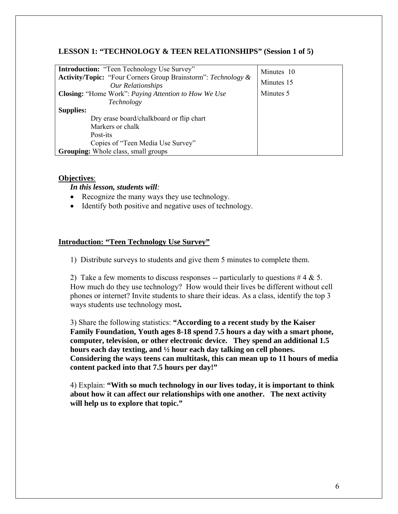# **LESSON 1: "TECHNOLOGY & TEEN RELATIONSHIPS" (Session 1 of 5)**

| <b>Introduction:</b> "Teen Technology Use Survey"<br><b>Activity/Topic:</b> "Four Corners Group Brainstorm": Technology &<br><b>Our Relationships</b> | Minutes 10<br>Minutes 15 |
|-------------------------------------------------------------------------------------------------------------------------------------------------------|--------------------------|
| Closing: "Home Work": Paying Attention to How We Use                                                                                                  | Minutes 5                |
| Technology                                                                                                                                            |                          |
| <b>Supplies:</b>                                                                                                                                      |                          |
| Dry erase board/chalkboard or flip chart                                                                                                              |                          |
| Markers or chalk                                                                                                                                      |                          |
| Post-its                                                                                                                                              |                          |
| Copies of "Teen Media Use Survey"                                                                                                                     |                          |
| <b>Grouping:</b> Whole class, small groups                                                                                                            |                          |

#### **Objectives**:

*In this lesson, students will:* 

- Recognize the many ways they use technology.
- Identify both positive and negative uses of technology.

## **Introduction: "Teen Technology Use Survey"**

1) Distribute surveys to students and give them 5 minutes to complete them.

2) Take a few moments to discuss responses -- particularly to questions  $#4 \& 5$ . How much do they use technology? How would their lives be different without cell phones or internet? Invite students to share their ideas. As a class, identify the top 3 ways students use technology most**.** 

3) Share the following statistics: **"According to a recent study by the Kaiser Family Foundation, Youth ages 8-18 spend 7.5 hours a day with a smart phone, computer, television, or other electronic device. They spend an additional 1.5 hours each day texting, and ½ hour each day talking on cell phones. Considering the ways teens can multitask, this can mean up to 11 hours of media content packed into that 7.5 hours per day!"**

4) Explain: **"With so much technology in our lives today, it is important to think about how it can affect our relationships with one another. The next activity will help us to explore that topic."**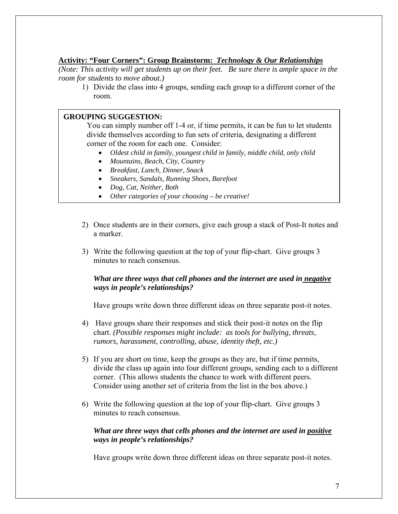# **Activity: "Four Corners": Group Brainstorm:** *Technology & Our Relationships*

*(Note: This activity will get students up on their feet. Be sure there is ample space in the room for students to move about.)* 

1) Divide the class into 4 groups, sending each group to a different corner of the room.

## **GROUPING SUGGESTION:**

You can simply number off 1-4 or, if time permits, it can be fun to let students divide themselves according to fun sets of criteria, designating a different corner of the room for each one. Consider:

- *Oldest child in family, youngest child in family, middle child, only child*
- *Mountains, Beach, City, Country*
- *Breakfast, Lunch, Dinner, Snack*
- *Sneakers, Sandals, Running Shoes, Barefoot*
- *Dog, Cat, Neither, Both*
- *Other categories of your choosing be creative!*
- 2) Once students are in their corners, give each group a stack of Post-It notes and a marker.
- 3) Write the following question at the top of your flip-chart. Give groups 3 minutes to reach consensus.

## *What are three ways that cell phones and the internet are used in negative ways in people's relationships?*

Have groups write down three different ideas on three separate post-it notes.

- 4) Have groups share their responses and stick their post-it notes on the flip chart. *(Possible responses might include: as tools for bullying, threats, rumors, harassment, controlling, abuse, identity theft, etc.)*
- 5) If you are short on time, keep the groups as they are, but if time permits, divide the class up again into four different groups, sending each to a different corner. (This allows students the chance to work with different peers. Consider using another set of criteria from the list in the box above.)
- 6) Write the following question at the top of your flip-chart. Give groups 3 minutes to reach consensus.

# *What are three ways that cells phones and the internet are used in positive ways in people's relationships?*

Have groups write down three different ideas on three separate post-it notes.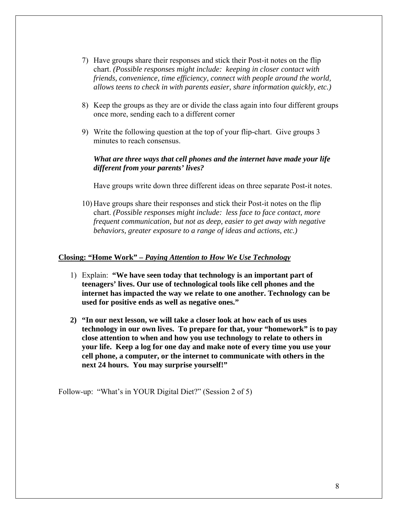- 7) Have groups share their responses and stick their Post-it notes on the flip chart. *(Possible responses might include: keeping in closer contact with friends, convenience, time efficiency, connect with people around the world, allows teens to check in with parents easier, share information quickly, etc.)*
- 8) Keep the groups as they are or divide the class again into four different groups once more, sending each to a different corner
- 9) Write the following question at the top of your flip-chart. Give groups 3 minutes to reach consensus.

# *What are three ways that cell phones and the internet have made your life different from your parents' lives?*

Have groups write down three different ideas on three separate Post-it notes.

10) Have groups share their responses and stick their Post-it notes on the flip chart. *(Possible responses might include: less face to face contact, more frequent communication, but not as deep, easier to get away with negative behaviors, greater exposure to a range of ideas and actions, etc.)*

#### **Closing: "Home Work" –** *Paying Attention to How We Use Technology*

- 1) Explain: **"We have seen today that technology is an important part of teenagers' lives. Our use of technological tools like cell phones and the internet has impacted the way we relate to one another. Technology can be used for positive ends as well as negative ones."**
- **2) "In our next lesson, we will take a closer look at how each of us uses technology in our own lives. To prepare for that, your "homework" is to pay close attention to when and how you use technology to relate to others in your life. Keep a log for one day and make note of every time you use your cell phone, a computer, or the internet to communicate with others in the next 24 hours. You may surprise yourself!"**

Follow-up: "What's in YOUR Digital Diet?" (Session 2 of 5)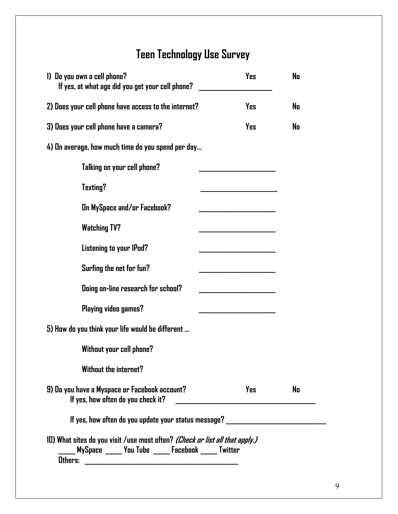# **Teen Technology Use Survey**

| 1) Do you own a cell phone?<br>If yes, at what age did you get your cell phone?                                                            | Yes | No |
|--------------------------------------------------------------------------------------------------------------------------------------------|-----|----|
| 2) Does your cell phone have access to the internet?                                                                                       | Yes | No |
| 3) Does your cell phone have a camera?                                                                                                     | Yes | No |
| 4) On average, how much time do you spend per day                                                                                          |     |    |
| Talking on your cell phone?                                                                                                                |     |    |
| <b>Texting?</b>                                                                                                                            |     |    |
| On MySpace and/or Facebook?                                                                                                                |     |    |
| <b>Watching TV?</b>                                                                                                                        |     |    |
| Listening to your IPod?                                                                                                                    |     |    |
| Surfing the net for fun?                                                                                                                   |     |    |
| Doing on-line research for school?                                                                                                         |     |    |
| Playing video games?                                                                                                                       |     |    |
| 5) How do you think your life would be different                                                                                           |     |    |
| Without your cell phone?                                                                                                                   |     |    |
| <b>Without the internet?</b>                                                                                                               |     |    |
| 9) Do you have a Myspace or Facebook account?<br>If yes, how often do you check it?                                                        | Yes | No |
| If yes, how often do you update your status message? ___________________________                                                           |     |    |
| 10) What sites do you visit /use most often? <i>(Check or list all that apply.)</i><br>MySpace _____ You Tube _____ Facebook _____ Twitter |     |    |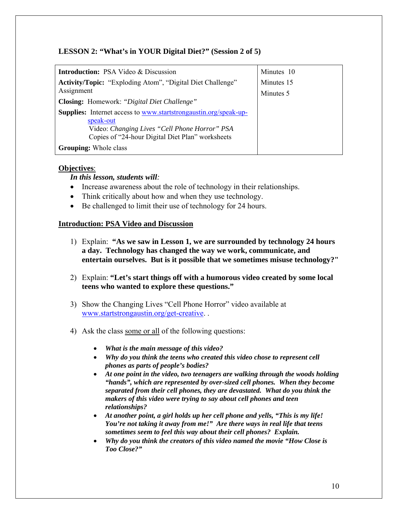# **LESSON 2: "What's in YOUR Digital Diet?" (Session 2 of 5)**

| <b>Introduction:</b> PSA Video & Discussion                                                       | Minutes 10              |
|---------------------------------------------------------------------------------------------------|-------------------------|
| <b>Activity/Topic:</b> "Exploding Atom", "Digital Diet Challenge"<br>Assignment                   | Minutes 15<br>Minutes 5 |
| Closing: Homework: "Digital Diet Challenge"                                                       |                         |
| <b>Supplies:</b> Internet access to www.startstrongaustin.org/speak-up-<br>speak-out              |                         |
| Video: Changing Lives "Cell Phone Horror" PSA<br>Copies of "24-hour Digital Diet Plan" worksheets |                         |
| <b>Grouping:</b> Whole class                                                                      |                         |

# **Objectives**:

## *In this lesson, students will:*

- Increase awareness about the role of technology in their relationships.
- Think critically about how and when they use technology.
- Be challenged to limit their use of technology for 24 hours.

# **Introduction: PSA Video and Discussion**

- 1) Explain: **"As we saw in Lesson 1, we are surrounded by technology 24 hours a day. Technology has changed the way we work, communicate, and entertain ourselves. But is it possible that we sometimes misuse technology?"**
- 2) Explain: **"Let's start things off with a humorous video created by some local teens who wanted to explore these questions."**
- 3) Show the Changing Lives "Cell Phone Horror" video available at www.startstrongaustin.org/get-creative. .
- 4) Ask the class some or all of the following questions:
	- *What is the main message of this video?*
	- *Why do you think the teens who created this video chose to represent cell phones as parts of people's bodies?*
	- *At one point in the video, two teenagers are walking through the woods holding "hands", which are represented by over-sized cell phones. When they become separated from their cell phones, they are devastated. What do you think the makers of this video were trying to say about cell phones and teen relationships?*
	- *At another point, a girl holds up her cell phone and yells, "This is my life! You're not taking it away from me!" Are there ways in real life that teens sometimes seem to feel this way about their cell phones? Explain.*
	- *Why do you think the creators of this video named the movie "How Close is Too Close?"*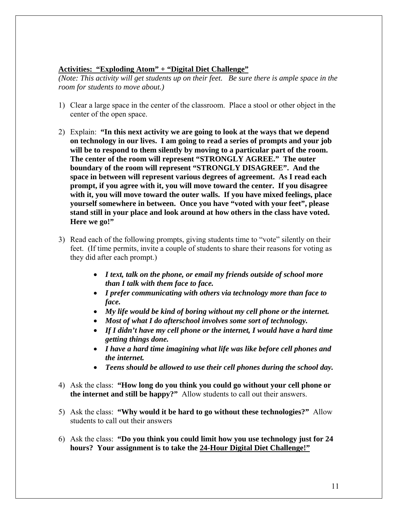## **Activities: "Exploding Atom" + "Digital Diet Challenge"**

*(Note: This activity will get students up on their feet. Be sure there is ample space in the room for students to move about.)* 

- 1) Clear a large space in the center of the classroom. Place a stool or other object in the center of the open space.
- 2) Explain: **"In this next activity we are going to look at the ways that we depend on technology in our lives. I am going to read a series of prompts and your job will be to respond to them silently by moving to a particular part of the room. The center of the room will represent "STRONGLY AGREE." The outer boundary of the room will represent "STRONGLY DISAGREE". And the space in between will represent various degrees of agreement. As I read each prompt, if you agree with it, you will move toward the center. If you disagree with it, you will move toward the outer walls. If you have mixed feelings, place yourself somewhere in between. Once you have "voted with your feet", please stand still in your place and look around at how others in the class have voted. Here we go!"**
- 3) Read each of the following prompts, giving students time to "vote" silently on their feet. (If time permits, invite a couple of students to share their reasons for voting as they did after each prompt.)
	- *I text, talk on the phone, or email my friends outside of school more than I talk with them face to face.*
	- *I prefer communicating with others via technology more than face to face.*
	- *My life would be kind of boring without my cell phone or the internet.*
	- *Most of what I do afterschool involves some sort of technology.*
	- *If I didn't have my cell phone or the internet, I would have a hard time getting things done.*
	- *I have a hard time imagining what life was like before cell phones and the internet.*
	- *Teens should be allowed to use their cell phones during the school day.*
- 4) Ask the class: **"How long do you think you could go without your cell phone or the internet and still be happy?"** Allow students to call out their answers.
- 5) Ask the class: **"Why would it be hard to go without these technologies?"** Allow students to call out their answers
- 6) Ask the class: **"Do you think you could limit how you use technology just for 24 hours? Your assignment is to take the 24-Hour Digital Diet Challenge!"**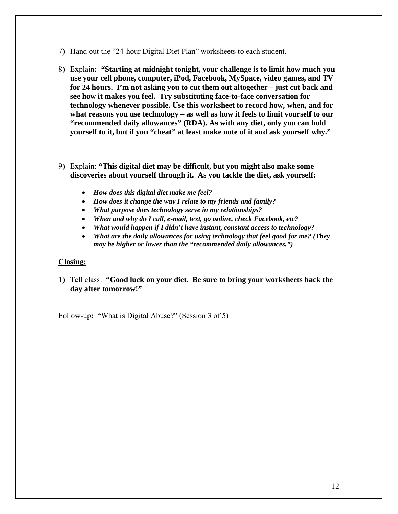- 7) Hand out the "24-hour Digital Diet Plan" worksheets to each student.
- 8) Explain**: "Starting at midnight tonight, your challenge is to limit how much you use your cell phone, computer, iPod, Facebook, MySpace, video games, and TV for 24 hours. I'm not asking you to cut them out altogether – just cut back and see how it makes you feel. Try substituting face-to-face conversation for technology whenever possible. Use this worksheet to record how, when, and for what reasons you use technology – as well as how it feels to limit yourself to our "recommended daily allowances" (RDA). As with any diet, only you can hold yourself to it, but if you "cheat" at least make note of it and ask yourself why."**
- 9) Explain: **"This digital diet may be difficult, but you might also make some discoveries about yourself through it. As you tackle the diet, ask yourself:**
	- *How does this digital diet make me feel?*
	- *How does it change the way I relate to my friends and family?*
	- *What purpose does technology serve in my relationships?*
	- *When and why do I call, e-mail, text, go online, check Facebook, etc?*
	- *What would happen if I didn't have instant, constant access to technology?*
	- *What are the daily allowances for using technology that feel good for me? (They may be higher or lower than the "recommended daily allowances.")*

#### **Closing:**

1) Tell class: **"Good luck on your diet. Be sure to bring your worksheets back the day after tomorrow!"** 

Follow-up**:** "What is Digital Abuse?" (Session 3 of 5)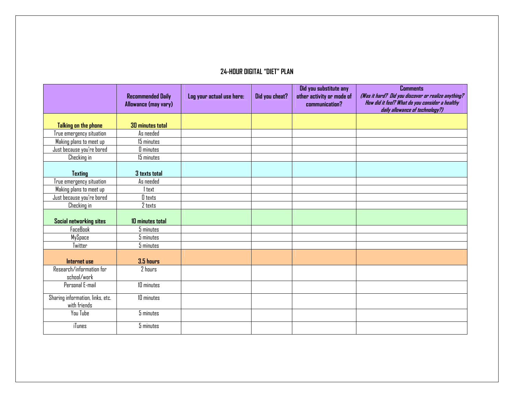#### **24-HOUR DIGITAL "DIET" PLAN**

|                                  |                          |                           |                | Did you substitute any    | <b>Comments</b>                                                                    |
|----------------------------------|--------------------------|---------------------------|----------------|---------------------------|------------------------------------------------------------------------------------|
|                                  | <b>Recommended Daily</b> | Log your actual use here: | Did you cheat? | other activity or mode of | (Was it hard? Did you discover or realize anything?                                |
|                                  | Allowance (may vary)     |                           |                | communication?            | How did it feel? What do you consider a healthy<br>daily allowance of technology?) |
|                                  |                          |                           |                |                           |                                                                                    |
| Talking on the phone             | <b>30 minutes total</b>  |                           |                |                           |                                                                                    |
| True emergency situation         | As needed                |                           |                |                           |                                                                                    |
| Making plans to meet up          | 15 minutes               |                           |                |                           |                                                                                    |
| Just because you're bored        | <b>O</b> minutes         |                           |                |                           |                                                                                    |
| Checking in                      | 15 minutes               |                           |                |                           |                                                                                    |
|                                  |                          |                           |                |                           |                                                                                    |
| <b>Texting</b>                   | 3 texts total            |                           |                |                           |                                                                                    |
| True emergency situation         | As needed                |                           |                |                           |                                                                                    |
| Making plans to meet up          | 1 text                   |                           |                |                           |                                                                                    |
| Just because you're bored        | $0$ texts                |                           |                |                           |                                                                                    |
| Checking in                      | 2 texts                  |                           |                |                           |                                                                                    |
|                                  |                          |                           |                |                           |                                                                                    |
| Social networking sites          | 10 minutes total         |                           |                |                           |                                                                                    |
| <b>FaceBook</b>                  | 5 minutes                |                           |                |                           |                                                                                    |
| MySpace                          | 5 minutes                |                           |                |                           |                                                                                    |
| Twitter                          | 5 minutes                |                           |                |                           |                                                                                    |
|                                  |                          |                           |                |                           |                                                                                    |
| Internet use                     | 3.5 hours                |                           |                |                           |                                                                                    |
| Research/information for         | 2 hours                  |                           |                |                           |                                                                                    |
| school/work                      |                          |                           |                |                           |                                                                                    |
| Personal E-mail                  | 10 minutes               |                           |                |                           |                                                                                    |
| Sharing information, links, etc. | 10 minutes               |                           |                |                           |                                                                                    |
| with friends                     |                          |                           |                |                           |                                                                                    |
| You Tube                         | 5 minutes                |                           |                |                           |                                                                                    |
| iTunes                           | 5 minutes                |                           |                |                           |                                                                                    |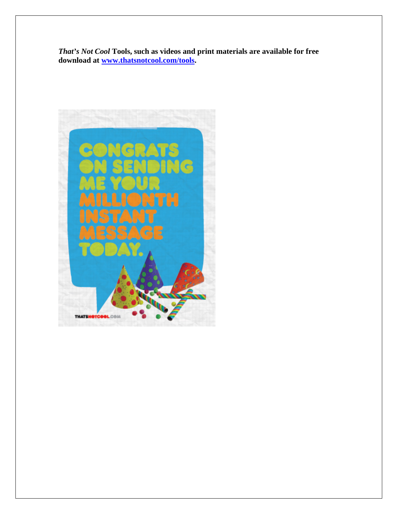*That's Not Cool* **Tools, such as videos and print materials are available for free download at www.thatsnotcool.com/tools.** 

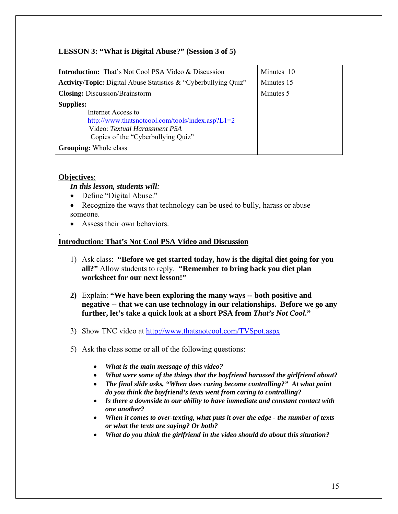# **LESSON 3: "What is Digital Abuse?" (Session 3 of 5)**

| <b>Introduction:</b> That's Not Cool PSA Video & Discussion            | Minutes 10 |
|------------------------------------------------------------------------|------------|
| <b>Activity/Topic:</b> Digital Abuse Statistics & "Cyberbullying Quiz" | Minutes 15 |
| <b>Closing:</b> Discussion/Brainstorm                                  | Minutes 5  |
| <b>Supplies:</b>                                                       |            |
| Internet Access to                                                     |            |
| http://www.thatsnotcool.com/tools/index.asp? $L1=2$                    |            |
| Video: Textual Harassment PSA                                          |            |
| Copies of the "Cyberbullying Quiz"                                     |            |
| <b>Grouping:</b> Whole class                                           |            |

## **Objectives**:

.

## *In this lesson, students will:*

- Define "Digital Abuse."
- Recognize the ways that technology can be used to bully, harass or abuse someone.
- Assess their own behaviors.

## **Introduction: That's Not Cool PSA Video and Discussion**

- 1) Ask class: **"Before we get started today, how is the digital diet going for you all?"** Allow students to reply. **"Remember to bring back you diet plan worksheet for our next lesson!"**
- **2)** Explain: **"We have been exploring the many ways -- both positive and negative -- that we can use technology in our relationships. Before we go any further, let's take a quick look at a short PSA from** *That's Not Cool***."**
- 3) Show TNC video at http://www.thatsnotcool.com/TVSpot.aspx
- 5) Ask the class some or all of the following questions:
	- *What is the main message of this video?*
	- *What were some of the things that the boyfriend harassed the girlfriend about?*
	- *The final slide asks, "When does caring become controlling?" At what point do you think the boyfriend's texts went from caring to controlling?*
	- *Is there a downside to our ability to have immediate and constant contact with one another?*
	- *When it comes to over-texting, what puts it over the edge the number of texts or what the texts are saying? Or both?*
	- *What do you think the girlfriend in the video should do about this situation?*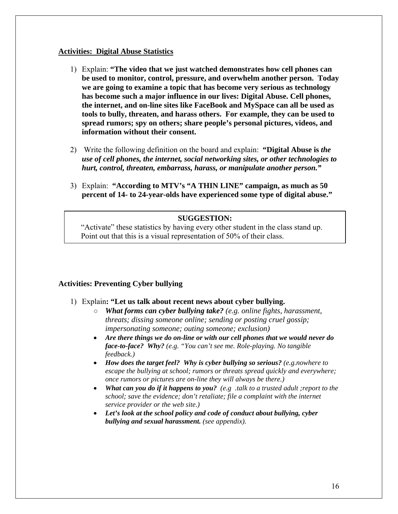#### **Activities: Digital Abuse Statistics**

- 1) Explain: **"The video that we just watched demonstrates how cell phones can be used to monitor, control, pressure, and overwhelm another person. Today we are going to examine a topic that has become very serious as technology has become such a major influence in our lives: Digital Abuse. Cell phones, the internet, and on-line sites like FaceBook and MySpace can all be used as tools to bully, threaten, and harass others. For example, they can be used to spread rumors; spy on others; share people's personal pictures, videos, and information without their consent.**
- 2) Write the following definition on the board and explain: **"Digital Abuse is** *the use of cell phones, the internet, social networking sites, or other technologies to hurt, control, threaten, embarrass, harass, or manipulate another person."*
- 3) Explain: **"According to MTV's "A THIN LINE" campaign, as much as 50 percent of 14- to 24-year-olds have experienced some type of digital abuse."**

## **SUGGESTION:**

"Activate" these statistics by having every other student in the class stand up. Point out that this is a visual representation of 50% of their class.

## **Activities: Preventing Cyber bullying**

- 1) Explain**: "Let us talk about recent news about cyber bullying.**
	- *What forms can cyber bullying take? (e.g. online fights, harassment, threats; dissing someone online; sending or posting cruel gossip; impersonating someone; outing someone; exclusion)*
	- *Are there things we do on-line or with our cell phones that we would never do face-to-face? Why? (e.g. "You can't see me. Role-playing. No tangible feedback.)*
	- *How does the target feel? Why is cyber bullying so serious? (e.g.nowhere to escape the bullying at school; rumors or threats spread quickly and everywhere; once rumors or pictures are on-line they will always be there.)*
	- *What can you do if it happens to you? (e.g .talk to a trusted adult ;report to the school; save the evidence; don't retaliate; file a complaint with the internet service provider or the web site.)*
	- *Let's look at the school policy and code of conduct about bullying, cyber bullying and sexual harassment. (see appendix).*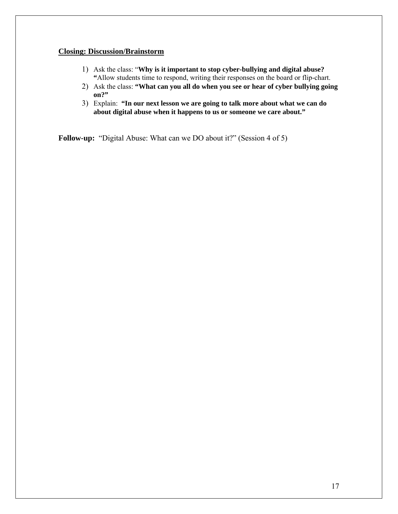#### **Closing: Discussion/Brainstorm**

- 1) Ask the class: "**Why is it important to stop cyber-bullying and digital abuse? "**Allow students time to respond, writing their responses on the board or flip-chart.
- 2) Ask the class: **"What can you all do when you see or hear of cyber bullying going on?"**
- 3) Explain: **"In our next lesson we are going to talk more about what we can do about digital abuse when it happens to us or someone we care about."**

**Follow-up:** "Digital Abuse: What can we DO about it?" (Session 4 of 5)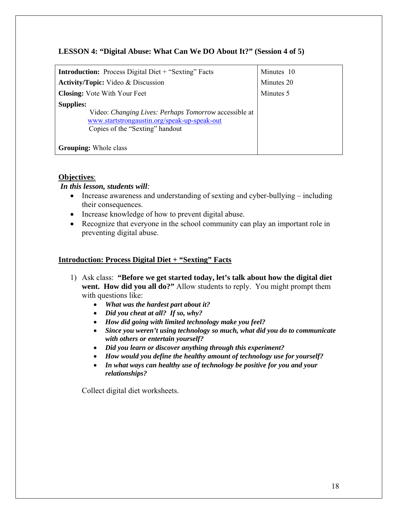# **LESSON 4: "Digital Abuse: What Can We DO About It?" (Session 4 of 5)**

| <b>Introduction:</b> Process Digital Diet + "Sexting" Facts                                                                                                         | Minutes 10 |
|---------------------------------------------------------------------------------------------------------------------------------------------------------------------|------------|
| <b>Activity/Topic:</b> Video & Discussion                                                                                                                           | Minutes 20 |
| <b>Closing:</b> Vote With Your Feet                                                                                                                                 | Minutes 5  |
| <b>Supplies:</b><br>Video: <i>Changing Lives: Perhaps Tomorrow</i> accessible at<br>www.startstrongaustin.org/speak-up-speak-out<br>Copies of the "Sexting" handout |            |
| <b>Grouping:</b> Whole class                                                                                                                                        |            |

# **Objectives**:

# *In this lesson, students will:*

- Increase awareness and understanding of sexting and cyber-bullying including their consequences.
- Increase knowledge of how to prevent digital abuse.
- Recognize that everyone in the school community can play an important role in preventing digital abuse.

# **Introduction: Process Digital Diet + "Sexting" Facts**

- 1) Ask class: **"Before we get started today, let's talk about how the digital diet went. How did you all do?"** Allow students to reply. You might prompt them with questions like:
	- *What was the hardest part about it?*
	- *Did you cheat at all? If so, why?*
	- *How did going with limited technology make you feel?*
	- *Since you weren't using technology so much, what did you do to communicate with others or entertain yourself?*
	- *Did you learn or discover anything through this experiment?*
	- *How would you define the healthy amount of technology use for yourself?*
	- *In what ways can healthy use of technology be positive for you and your relationships?*

Collect digital diet worksheets.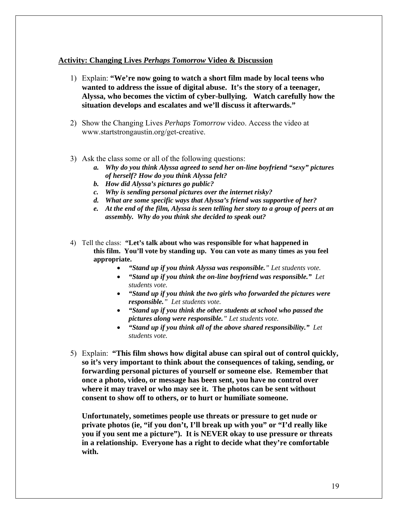## **Activity: Changing Lives** *Perhaps Tomorrow* **Video & Discussion**

- 1) Explain: **"We're now going to watch a short film made by local teens who wanted to address the issue of digital abuse. It's the story of a teenager, Alyssa, who becomes the victim of cyber-bullying. Watch carefully how the situation develops and escalates and we'll discuss it afterwards."**
- 2) Show the Changing Lives *Perhaps Tomorrow* video. Access the video at www.startstrongaustin.org/get-creative.
- 3) Ask the class some or all of the following questions:
	- *a. Why do you think Alyssa agreed to send her on-line boyfriend "sexy" pictures of herself? How do you think Alyssa felt?*
	- *b. How did Alyssa's pictures go public?*
	- *c. Why is sending personal pictures over the internet risky?*
	- *d. What are some specific ways that Alyssa's friend was supportive of her?*
	- *e. At the end of the film, Alyssa is seen telling her story to a group of peers at an assembly. Why do you think she decided to speak out?*
- 4) Tell the class: **"Let's talk about who was responsible for what happened in this film. You'll vote by standing up. You can vote as many times as you feel appropriate.** 
	- *"Stand up if you think Alyssa was responsible." Let students vote.*
	- *"Stand up if you think the on-line boyfriend was responsible." Let students vote.*
	- *"Stand up if you think the two girls who forwarded the pictures were responsible." Let students vote.*
	- *"Stand up if you think the other students at school who passed the pictures along were responsible." Let students vote.*
	- *"Stand up if you think all of the above shared responsibility." Let students vote.*
- 5) Explain: **"This film shows how digital abuse can spiral out of control quickly, so it's very important to think about the consequences of taking, sending, or forwarding personal pictures of yourself or someone else. Remember that once a photo, video, or message has been sent, you have no control over where it may travel or who may see it. The photos can be sent without consent to show off to others, or to hurt or humiliate someone.**

**Unfortunately, sometimes people use threats or pressure to get nude or private photos (ie, "if you don't, I'll break up with you" or "I'd really like you if you sent me a picture"). It is NEVER okay to use pressure or threats in a relationship. Everyone has a right to decide what they're comfortable with.**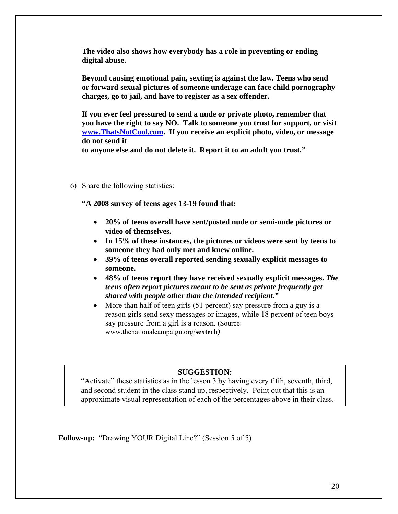**The video also shows how everybody has a role in preventing or ending digital abuse.** 

**Beyond causing emotional pain, sexting is against the law. Teens who send or forward sexual pictures of someone underage can face child pornography charges, go to jail, and have to register as a sex offender.** 

**If you ever feel pressured to send a nude or private photo, remember that you have the right to say NO. Talk to someone you trust for support, or visit www.ThatsNotCool.com. If you receive an explicit photo, video, or message do not send it** 

**to anyone else and do not delete it. Report it to an adult you trust."** 

6) Share the following statistics:

**"A 2008 survey of teens ages 13-19 found that:**

- **20% of teens overall have sent/posted nude or semi-nude pictures or video of themselves.**
- **In 15% of these instances, the pictures or videos were sent by teens to someone they had only met and knew online.**
- **39% of teens overall reported sending sexually explicit messages to someone.**
- **48% of teens report they have received sexually explicit messages.** *The teens often report pictures meant to be sent as private frequently get shared with people other than the intended recipient."*
- More than half of teen girls (51 percent) say pressure from a guy is a reason girls send sexy messages or images, while 18 percent of teen boys say pressure from a girl is a reason. (Source: www.thenationalcampaign.org/**sextech***)*

#### **SUGGESTION:**

"Activate" these statistics as in the lesson 3 by having every fifth, seventh, third, and second student in the class stand up, respectively. Point out that this is an approximate visual representation of each of the percentages above in their class.

**Follow-up:** "Drawing YOUR Digital Line?" (Session 5 of 5)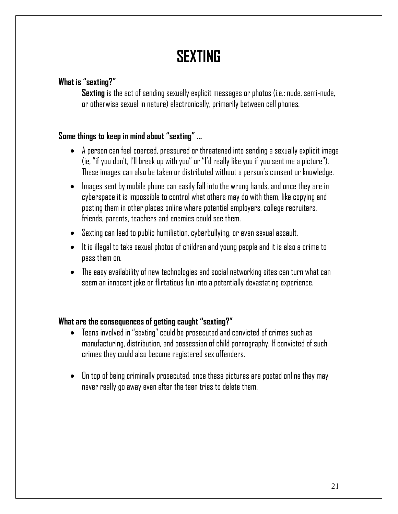# **SEXTING**

# **What is "sexting?"**

**Sexting** is the act of sending sexually explicit messages or photos (i.e.: nude, semi-nude, or otherwise sexual in nature) electronically, primarily between cell phones.

# **Some things to keep in mind about "sexting" …**

- A person can feel coerced, pressured or threatened into sending a sexually explicit image (ie, "if you don't, I'll break up with you" or "I'd really like you if you sent me a picture"). These images can also be taken or distributed without a person's consent or knowledge.
- Images sent by mobile phone can easily fall into the wrong hands, and once they are in cyberspace it is impossible to control what others may do with them, like copying and posting them in other places online where potential employers, college recruiters, friends, parents, teachers and enemies could see them.
- Sexting can lead to public humiliation, cyberbullying, or even sexual assault.
- It is illegal to take sexual photos of children and young people and it is also a crime to pass them on.
- The easy availability of new technologies and social networking sites can turn what can seem an innocent joke or flirtatious fun into a potentially devastating experience.

# **What are the consequences of getting caught "sexting?"**

- Teens involved in "sexting" could be prosecuted and convicted of crimes such as manufacturing, distribution, and possession of child pornography. If convicted of such crimes they could also become registered sex offenders.
- On top of being criminally prosecuted, once these pictures are posted online they may never really go away even after the teen tries to delete them.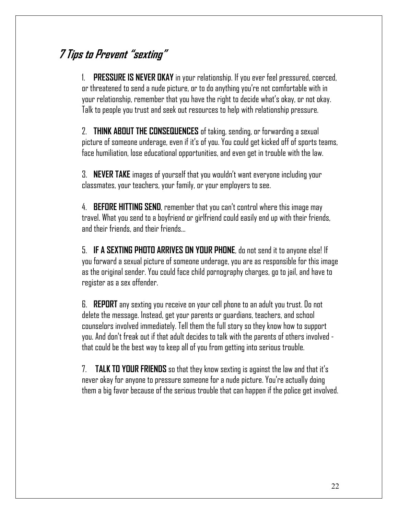# **7 Tips to Prevent "sexting"**

1. **PRESSURE IS NEVER OKAY** in your relationship. If you ever feel pressured, coerced, or threatened to send a nude picture, or to do anything you're not comfortable with in your relationship, remember that you have the right to decide what's okay, or not okay. Talk to people you trust and seek out resources to help with relationship pressure.

2. **THINK ABOUT THE CONSEQUENCES** of taking, sending, or forwarding a sexual picture of someone underage, even if it's of you. You could get kicked off of sports teams, face humiliation, lose educational opportunities, and even get in trouble with the law.

3. **NEVER TAKE** images of yourself that you wouldn't want everyone including your classmates, your teachers, your family, or your employers to see.

4. **BEFORE HITTING SEND**, remember that you can't control where this image may travel. What you send to a boyfriend or girlfriend could easily end up with their friends, and their friends, and their friends…

5. **IF A SEXTING PHOTO ARRIVES ON YOUR PHONE**, do not send it to anyone else! If you forward a sexual picture of someone underage, you are as responsible for this image as the original sender. You could face child pornography charges, go to jail, and have to register as a sex offender.

6. **REPORT** any sexting you receive on your cell phone to an adult you trust. Do not delete the message. Instead, get your parents or guardians, teachers, and school counselors involved immediately. Tell them the full story so they know how to support you. And don't freak out if that adult decides to talk with the parents of others involved that could be the best way to keep all of you from getting into serious trouble.

7. **TALK TO YOUR FRIENDS** so that they know sexting is against the law and that it's never okay for anyone to pressure someone for a nude picture. You're actually doing them a big favor because of the serious trouble that can happen if the police get involved.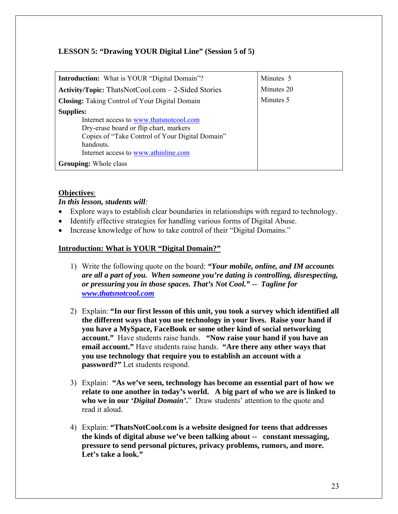# **LESSON 5: "Drawing YOUR Digital Line" (Session 5 of 5)**

| <b>Introduction:</b> What is YOUR "Digital Domain"?         | Minutes 5  |
|-------------------------------------------------------------|------------|
| <b>Activity/Topic:</b> ThatsNotCool.com $-$ 2-Sided Stories | Minutes 20 |
| <b>Closing:</b> Taking Control of Your Digital Domain       | Minutes 5  |
| <b>Supplies:</b>                                            |            |
| Internet access to www.thatsnotcool.com                     |            |
| Dry-erase board or flip chart, markers                      |            |
| Copies of "Take Control of Your Digital Domain"             |            |
| handouts.                                                   |            |
| Internet access to www.athinline.com                        |            |
| <b>Grouping:</b> Whole class                                |            |

# **Objectives**:

*In this lesson, students will:* 

- Explore ways to establish clear boundaries in relationships with regard to technology.
- Identify effective strategies for handling various forms of Digital Abuse.
- Increase knowledge of how to take control of their "Digital Domains."

# **Introduction: What is YOUR "Digital Domain?"**

- 1) Write the following quote on the board: *"Your mobile, online, and IM accounts are all a part of you. When someone you're dating is controlling, disrespecting, or pressuring you in those spaces. That's Not Cool." -- Tagline for www.thatsnotcool.com*
- 2) Explain: **"In our first lesson of this unit, you took a survey which identified all the different ways that you use technology in your lives. Raise your hand if you have a MySpace, FaceBook or some other kind of social networking account."** Have students raise hands. **"Now raise your hand if you have an email account."** Have students raise hands. **"Are there any other ways that you use technology that require you to establish an account with a password?"** Let students respond.
- 3) Explain: **"As we've seen, technology has become an essential part of how we relate to one another in today's world. A big part of who we are is linked to who we in our** *'Digital Domain'***.**" Draw students' attention to the quote and read it aloud.
- 4) Explain: **"ThatsNotCool.com is a website designed for teens that addresses the kinds of digital abuse we've been talking about -- constant messaging, pressure to send personal pictures, privacy problems, rumors, and more. Let's take a look."**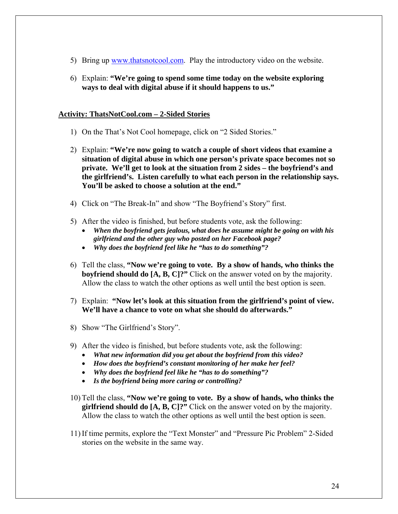- 5) Bring up www.thatsnotcool.com. Play the introductory video on the website.
- 6) Explain: **"We're going to spend some time today on the website exploring ways to deal with digital abuse if it should happens to us."**

## **Activity: ThatsNotCool.com – 2-Sided Stories**

- 1) On the That's Not Cool homepage, click on "2 Sided Stories."
- 2) Explain: **"We're now going to watch a couple of short videos that examine a situation of digital abuse in which one person's private space becomes not so private. We'll get to look at the situation from 2 sides – the boyfriend's and the girlfriend's. Listen carefully to what each person in the relationship says. You'll be asked to choose a solution at the end."**
- 4) Click on "The Break-In" and show "The Boyfriend's Story" first.
- 5) After the video is finished, but before students vote, ask the following:
	- *When the boyfriend gets jealous, what does he assume might be going on with his girlfriend and the other guy who posted on her Facebook page?*
	- *Why does the boyfriend feel like he "has to do something"?*
- 6) Tell the class, **"Now we're going to vote. By a show of hands, who thinks the boyfriend should do [A, B, C]?"** Click on the answer voted on by the majority. Allow the class to watch the other options as well until the best option is seen.
- 7) Explain: **"Now let's look at this situation from the girlfriend's point of view. We'll have a chance to vote on what she should do afterwards."**
- 8) Show "The Girlfriend's Story".
- 9) After the video is finished, but before students vote, ask the following:
	- *What new information did you get about the boyfriend from this video?*
	- *How does the boyfriend's constant monitoring of her make her feel?*
	- *Why does the boyfriend feel like he "has to do something"?*
	- *Is the boyfriend being more caring or controlling?*
- 10) Tell the class, **"Now we're going to vote. By a show of hands, who thinks the girlfriend should do [A, B, C]?"** Click on the answer voted on by the majority. Allow the class to watch the other options as well until the best option is seen.
- 11) If time permits, explore the "Text Monster" and "Pressure Pic Problem" 2-Sided stories on the website in the same way.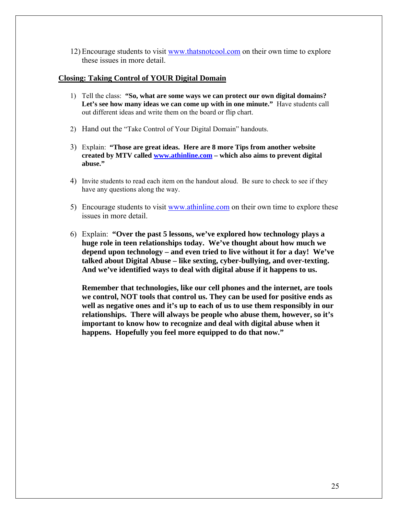12) Encourage students to visit www.thatsnotcool.com on their own time to explore these issues in more detail.

#### **Closing: Taking Control of YOUR Digital Domain**

- 1) Tell the class: **"So, what are some ways we can protect our own digital domains?**  Let's see how many ideas we can come up with in one minute." Have students call out different ideas and write them on the board or flip chart.
- 2) Hand out the "Take Control of Your Digital Domain" handouts.
- 3) Explain: **"Those are great ideas. Here are 8 more Tips from another website created by MTV called www.athinline.com – which also aims to prevent digital abuse."**
- 4) Invite students to read each item on the handout aloud. Be sure to check to see if they have any questions along the way.
- 5) Encourage students to visit www.athinline.com on their own time to explore these issues in more detail.
- 6) Explain: **"Over the past 5 lessons, we've explored how technology plays a huge role in teen relationships today. We've thought about how much we depend upon technology – and even tried to live without it for a day! We've talked about Digital Abuse – like sexting, cyber-bullying, and over-texting. And we've identified ways to deal with digital abuse if it happens to us.**

**Remember that technologies, like our cell phones and the internet, are tools we control, NOT tools that control us. They can be used for positive ends as well as negative ones and it's up to each of us to use them responsibly in our relationships. There will always be people who abuse them, however, so it's important to know how to recognize and deal with digital abuse when it happens. Hopefully you feel more equipped to do that now."**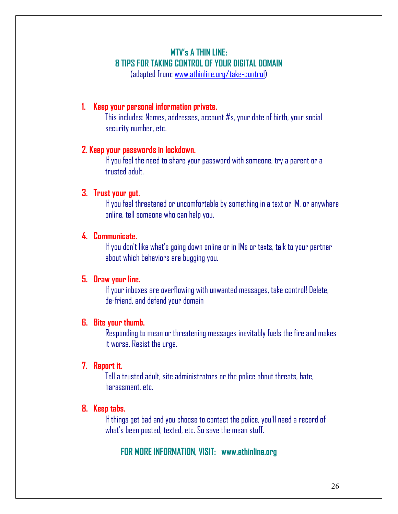# **MTV's A THIN LINE: 8 TIPS FOR TAKING CONTROL OF YOUR DIGITAL DOMAIN**

(adapted from: www.athinline.org/take-control)

# **1. Keep your personal information private.**

This includes: Names, addresses, account #s, your date of birth, your social security number, etc.

# **2. Keep your passwords in lockdown.**

If you feel the need to share your password with someone, try a parent or a trusted adult.

# **3. Trust your gut.**

If you feel threatened or uncomfortable by something in a text or IM, or anywhere online, tell someone who can help you.

# **4. Communicate.**

If you don't like what's going down online or in IMs or texts, talk to your partner about which behaviors are bugging you.

# **5. Draw your line.**

If your inboxes are overflowing with unwanted messages, take control! Delete, de-friend, and defend your domain

# **6. Bite your thumb.**

Responding to mean or threatening messages inevitably fuels the fire and makes it worse. Resist the urge.

# **7. Report it.**

Tell a trusted adult, site administrators or the police about threats, hate, harassment, etc.

# **8. Keep tabs.**

If things get bad and you choose to contact the police, you'll need a record of what's been posted, texted, etc. So save the mean stuff.

# **FOR MORE INFORMATION, VISIT: www.athinline.org**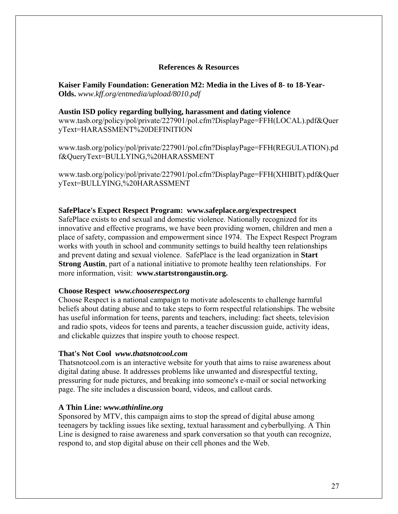### **References & Resources**

**Kaiser Family Foundation: Generation M2: Media in the Lives of 8- to 18-Year-Olds.** *www.kff.org/entmedia/upload/8010.pdf*

#### **Austin ISD policy regarding bullying, harassment and dating violence**

www.tasb.org/policy/pol/private/227901/pol.cfm?DisplayPage=FFH(LOCAL).pdf&Quer yText=HARASSMENT%20DEFINITION

www.tasb.org/policy/pol/private/227901/pol.cfm?DisplayPage=FFH(REGULATION).pd f&QueryText=BULLYING,%20HARASSMENT

www.tasb.org/policy/pol/private/227901/pol.cfm?DisplayPage=FFH(XHIBIT).pdf&Quer yText=BULLYING,%20HARASSMENT

#### **SafePlace's Expect Respect Program: www.safeplace.org/expectrespect**

SafePlace exists to end sexual and domestic violence. Nationally recognized for its innovative and effective programs, we have been providing women, children and men a place of safety, compassion and empowerment since 1974. The Expect Respect Program works with youth in school and community settings to build healthy teen relationships and prevent dating and sexual violence. SafePlace is the lead organization in **Start Strong Austin**, part of a national initiative to promote healthy teen relationships. For more information, visit: **www.startstrongaustin.org.**

#### **Choose Respect** *www.chooserespect.org*

Choose Respect is a national campaign to motivate adolescents to challenge harmful beliefs about dating abuse and to take steps to form respectful relationships. The website has useful information for teens, parents and teachers, including: fact sheets, television and radio spots, videos for teens and parents, a teacher discussion guide, activity ideas, and clickable quizzes that inspire youth to choose respect.

#### **That's Not Cool** *www.thatsnotcool.com*

Thatsnotcool.com is an interactive website for youth that aims to raise awareness about digital dating abuse. It addresses problems like unwanted and disrespectful texting, pressuring for nude pictures, and breaking into someone's e-mail or social networking page. The site includes a discussion board, videos, and callout cards.

## **A Thin Line:** *www.athinline.org*

Sponsored by MTV, this campaign aims to stop the spread of digital abuse among teenagers by tackling issues like sexting, textual harassment and cyberbullying. A Thin Line is designed to raise awareness and spark conversation so that youth can recognize, respond to, and stop digital abuse on their cell phones and the Web.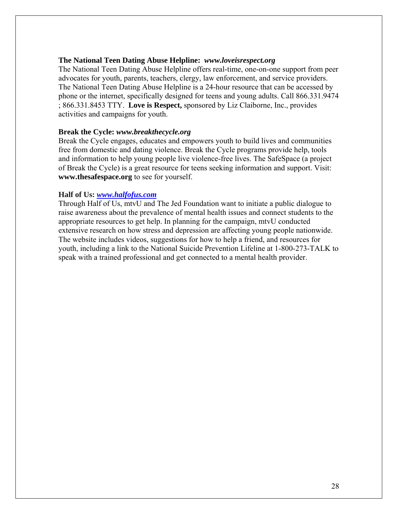## **The National Teen Dating Abuse Helpline:** *www.loveisrespect.org*

The National Teen Dating Abuse Helpline offers real-time, one-on-one support from peer advocates for youth, parents, teachers, clergy, law enforcement, and service providers. The National Teen Dating Abuse Helpline is a 24-hour resource that can be accessed by phone or the internet, specifically designed for teens and young adults. Call 866.331.9474 ; 866.331.8453 TTY. **Love is Respect,** sponsored by Liz Claiborne, Inc., provides activities and campaigns for youth.

#### **Break the Cycle:** *www.breakthecycle.org*

Break the Cycle engages, educates and empowers youth to build lives and communities free from domestic and dating violence. Break the Cycle programs provide help, tools and information to help young people live violence-free lives. The SafeSpace (a project of Break the Cycle) is a great resource for teens seeking information and support. Visit: **www.thesafespace.org** to see for yourself.

#### **Half of Us:** *www.halfofus.com*

Through Half of Us, mtvU and The Jed Foundation want to initiate a public dialogue to raise awareness about the prevalence of mental health issues and connect students to the appropriate resources to get help. In planning for the campaign, mtvU conducted extensive research on how stress and depression are affecting young people nationwide. The website includes videos, suggestions for how to help a friend, and resources for youth, including a link to the National Suicide Prevention Lifeline at 1-800-273-TALK to speak with a trained professional and get connected to a mental health provider.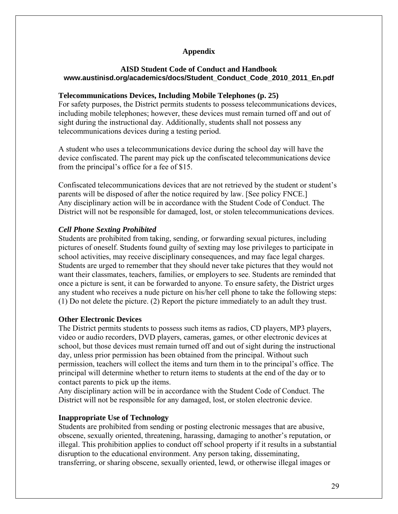# **Appendix**

## **AISD Student Code of Conduct and Handbook www.austinisd.org/academics/docs/Student\_Conduct\_Code\_2010\_2011\_En.pdf**

## **Telecommunications Devices, Including Mobile Telephones (p. 25)**

For safety purposes, the District permits students to possess telecommunications devices, including mobile telephones; however, these devices must remain turned off and out of sight during the instructional day. Additionally, students shall not possess any telecommunications devices during a testing period.

A student who uses a telecommunications device during the school day will have the device confiscated. The parent may pick up the confiscated telecommunications device from the principal's office for a fee of \$15.

Confiscated telecommunications devices that are not retrieved by the student or student's parents will be disposed of after the notice required by law. [See policy FNCE.] Any disciplinary action will be in accordance with the Student Code of Conduct. The District will not be responsible for damaged, lost, or stolen telecommunications devices.

## *Cell Phone Sexting Prohibited*

Students are prohibited from taking, sending, or forwarding sexual pictures, including pictures of oneself. Students found guilty of sexting may lose privileges to participate in school activities, may receive disciplinary consequences, and may face legal charges. Students are urged to remember that they should never take pictures that they would not want their classmates, teachers, families, or employers to see. Students are reminded that once a picture is sent, it can be forwarded to anyone. To ensure safety, the District urges any student who receives a nude picture on his/her cell phone to take the following steps: (1) Do not delete the picture. (2) Report the picture immediately to an adult they trust.

## **Other Electronic Devices**

The District permits students to possess such items as radios, CD players, MP3 players, video or audio recorders, DVD players, cameras, games, or other electronic devices at school, but those devices must remain turned off and out of sight during the instructional day, unless prior permission has been obtained from the principal. Without such permission, teachers will collect the items and turn them in to the principal's office. The principal will determine whether to return items to students at the end of the day or to contact parents to pick up the items.

Any disciplinary action will be in accordance with the Student Code of Conduct. The District will not be responsible for any damaged, lost, or stolen electronic device.

## **Inappropriate Use of Technology**

Students are prohibited from sending or posting electronic messages that are abusive, obscene, sexually oriented, threatening, harassing, damaging to another's reputation, or illegal. This prohibition applies to conduct off school property if it results in a substantial disruption to the educational environment. Any person taking, disseminating, transferring, or sharing obscene, sexually oriented, lewd, or otherwise illegal images or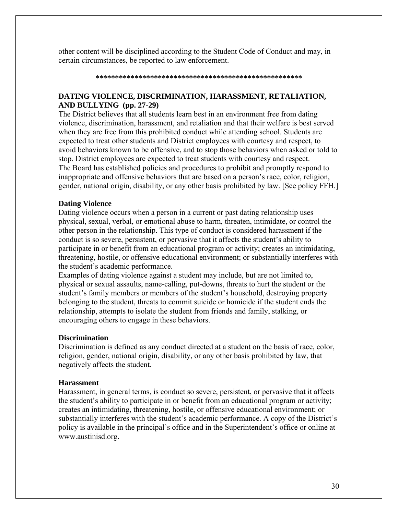other content will be disciplined according to the Student Code of Conduct and may, in certain circumstances, be reported to law enforcement.

#### **\*\*\*\*\*\*\*\*\*\*\*\*\*\*\*\*\*\*\*\*\*\*\*\*\*\*\*\*\*\*\*\*\*\*\*\*\*\*\*\*\*\*\*\*\*\*\*\*\*\*\*\*\***

# **DATING VIOLENCE, DISCRIMINATION, HARASSMENT, RETALIATION, AND BULLYING (pp. 27-29)**

The District believes that all students learn best in an environment free from dating violence, discrimination, harassment, and retaliation and that their welfare is best served when they are free from this prohibited conduct while attending school. Students are expected to treat other students and District employees with courtesy and respect, to avoid behaviors known to be offensive, and to stop those behaviors when asked or told to stop. District employees are expected to treat students with courtesy and respect. The Board has established policies and procedures to prohibit and promptly respond to inappropriate and offensive behaviors that are based on a person's race, color, religion, gender, national origin, disability, or any other basis prohibited by law. [See policy FFH.]

## **Dating Violence**

Dating violence occurs when a person in a current or past dating relationship uses physical, sexual, verbal, or emotional abuse to harm, threaten, intimidate, or control the other person in the relationship. This type of conduct is considered harassment if the conduct is so severe, persistent, or pervasive that it affects the student's ability to participate in or benefit from an educational program or activity; creates an intimidating, threatening, hostile, or offensive educational environment; or substantially interferes with the student's academic performance.

Examples of dating violence against a student may include, but are not limited to, physical or sexual assaults, name-calling, put-downs, threats to hurt the student or the student's family members or members of the student's household, destroying property belonging to the student, threats to commit suicide or homicide if the student ends the relationship, attempts to isolate the student from friends and family, stalking, or encouraging others to engage in these behaviors.

#### **Discrimination**

Discrimination is defined as any conduct directed at a student on the basis of race, color, religion, gender, national origin, disability, or any other basis prohibited by law, that negatively affects the student.

#### **Harassment**

Harassment, in general terms, is conduct so severe, persistent, or pervasive that it affects the student's ability to participate in or benefit from an educational program or activity; creates an intimidating, threatening, hostile, or offensive educational environment; or substantially interferes with the student's academic performance. A copy of the District's policy is available in the principal's office and in the Superintendent's office or online at www.austinisd.org.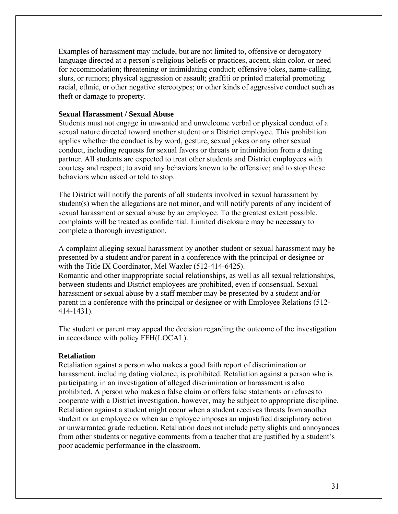Examples of harassment may include, but are not limited to, offensive or derogatory language directed at a person's religious beliefs or practices, accent, skin color, or need for accommodation; threatening or intimidating conduct; offensive jokes, name-calling, slurs, or rumors; physical aggression or assault; graffiti or printed material promoting racial, ethnic, or other negative stereotypes; or other kinds of aggressive conduct such as theft or damage to property.

## **Sexual Harassment / Sexual Abuse**

Students must not engage in unwanted and unwelcome verbal or physical conduct of a sexual nature directed toward another student or a District employee. This prohibition applies whether the conduct is by word, gesture, sexual jokes or any other sexual conduct, including requests for sexual favors or threats or intimidation from a dating partner. All students are expected to treat other students and District employees with courtesy and respect; to avoid any behaviors known to be offensive; and to stop these behaviors when asked or told to stop.

The District will notify the parents of all students involved in sexual harassment by student(s) when the allegations are not minor, and will notify parents of any incident of sexual harassment or sexual abuse by an employee. To the greatest extent possible, complaints will be treated as confidential. Limited disclosure may be necessary to complete a thorough investigation.

A complaint alleging sexual harassment by another student or sexual harassment may be presented by a student and/or parent in a conference with the principal or designee or with the Title IX Coordinator, Mel Waxler (512-414-6425). Romantic and other inappropriate social relationships, as well as all sexual relationships, between students and District employees are prohibited, even if consensual. Sexual harassment or sexual abuse by a staff member may be presented by a student and/or parent in a conference with the principal or designee or with Employee Relations (512- 414-1431).

The student or parent may appeal the decision regarding the outcome of the investigation in accordance with policy FFH(LOCAL).

#### **Retaliation**

Retaliation against a person who makes a good faith report of discrimination or harassment, including dating violence, is prohibited. Retaliation against a person who is participating in an investigation of alleged discrimination or harassment is also prohibited. A person who makes a false claim or offers false statements or refuses to cooperate with a District investigation, however, may be subject to appropriate discipline. Retaliation against a student might occur when a student receives threats from another student or an employee or when an employee imposes an unjustified disciplinary action or unwarranted grade reduction. Retaliation does not include petty slights and annoyances from other students or negative comments from a teacher that are justified by a student's poor academic performance in the classroom.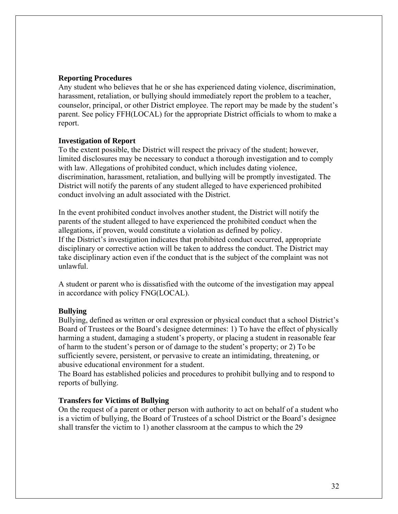## **Reporting Procedures**

Any student who believes that he or she has experienced dating violence, discrimination, harassment, retaliation, or bullying should immediately report the problem to a teacher, counselor, principal, or other District employee. The report may be made by the student's parent. See policy FFH(LOCAL) for the appropriate District officials to whom to make a report.

#### **Investigation of Report**

To the extent possible, the District will respect the privacy of the student; however, limited disclosures may be necessary to conduct a thorough investigation and to comply with law. Allegations of prohibited conduct, which includes dating violence, discrimination, harassment, retaliation, and bullying will be promptly investigated. The District will notify the parents of any student alleged to have experienced prohibited conduct involving an adult associated with the District.

In the event prohibited conduct involves another student, the District will notify the parents of the student alleged to have experienced the prohibited conduct when the allegations, if proven, would constitute a violation as defined by policy. If the District's investigation indicates that prohibited conduct occurred, appropriate disciplinary or corrective action will be taken to address the conduct. The District may take disciplinary action even if the conduct that is the subject of the complaint was not unlawful.

A student or parent who is dissatisfied with the outcome of the investigation may appeal in accordance with policy FNG(LOCAL).

## **Bullying**

Bullying, defined as written or oral expression or physical conduct that a school District's Board of Trustees or the Board's designee determines: 1) To have the effect of physically harming a student, damaging a student's property, or placing a student in reasonable fear of harm to the student's person or of damage to the student's property; or 2) To be sufficiently severe, persistent, or pervasive to create an intimidating, threatening, or abusive educational environment for a student.

The Board has established policies and procedures to prohibit bullying and to respond to reports of bullying.

#### **Transfers for Victims of Bullying**

On the request of a parent or other person with authority to act on behalf of a student who is a victim of bullying, the Board of Trustees of a school District or the Board's designee shall transfer the victim to 1) another classroom at the campus to which the 29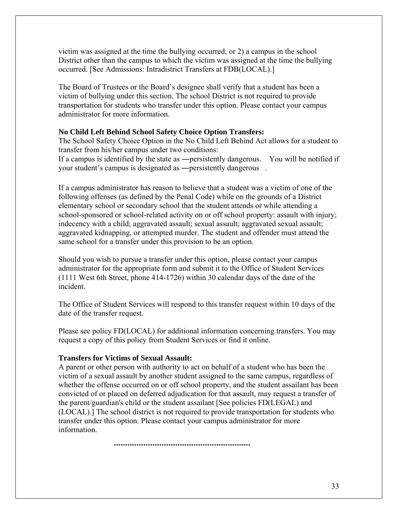victim was assigned at the time the bullying occurred; or 2) a campus in the school District other than the campus to which the victim was assigned at the time the bullying occurred. [See Admissions: Intradistrict Transfers at FDB(LOCAL).]

The Board of Trustees or the Board's designee shall verify that a student has been a victim of bullying under this section. The school District is not required to provide transportation for students who transfer under this option. Please contact your campus administrator for more information.

# **No Child Left Behind School Safety Choice Option Transfers:**

The School Safety Choice Option in the No Child Left Behind Act allows for a student to transfer from his/her campus under two conditions:

If a campus is identified by the state as ―persistently dangerous. You will be notified if your student's campus is designated as —persistently dangerous.

If a campus administrator has reason to believe that a student was a victim of one of the following offenses (as defined by the Penal Code) while on the grounds of a District elementary school or secondary school that the student attends or while attending a school-sponsored or school-related activity on or off school property: assault with injury; indecency with a child; aggravated assault; sexual assault; aggravated sexual assault; aggravated kidnapping, or attempted murder. The student and offender must attend the same school for a transfer under this provision to be an option.

Should you wish to pursue a transfer under this option, please contact your campus administrator for the appropriate form and submit it to the Office of Student Services (1111 West 6th Street, phone 414-1726) within 30 calendar days of the date of the incident.

The Office of Student Services will respond to this transfer request within 10 days of the date of the transfer request.

Please see policy FD(LOCAL) for additional information concerning transfers. You may request a copy of this policy from Student Services or find it online.

## **Transfers for Victims of Sexual Assault:**

A parent or other person with authority to act on behalf of a student who has been the victim of a sexual assault by another student assigned to the same campus, regardless of whether the offense occurred on or off school property, and the student assailant has been convicted of or placed on deferred adjudication for that assault, may request a transfer of the parent/guardian's child or the student assailant [See policies FD(LEGAL) and (LOCAL).] The school district is not required to provide transportation for students who transfer under this option. Please contact your campus administrator for more information.

\*\*\*\*\*\*\*\*\*\*\*\*\*\*\*\*\*\*\*\*\*\*\*\*\*\*\*\*\*\*\*\*\*\*\*\*\*\*\*\*\*\*\*\*\*\*\*\*\*\*\*\*\*\*\*\*\*\*\*\*